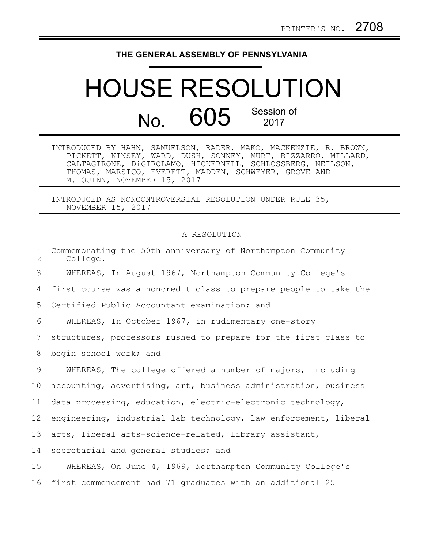## **THE GENERAL ASSEMBLY OF PENNSYLVANIA**

## HOUSE RESOLUTION No. 605 Session of

INTRODUCED BY HAHN, SAMUELSON, RADER, MAKO, MACKENZIE, R. BROWN, PICKETT, KINSEY, WARD, DUSH, SONNEY, MURT, BIZZARRO, MILLARD, CALTAGIRONE, DiGIROLAMO, HICKERNELL, SCHLOSSBERG, NEILSON, THOMAS, MARSICO, EVERETT, MADDEN, SCHWEYER, GROVE AND M. QUINN, NOVEMBER 15, 2017

INTRODUCED AS NONCONTROVERSIAL RESOLUTION UNDER RULE 35, NOVEMBER 15, 2017

## A RESOLUTION

| $\mathbf{1}$<br>2 | Commemorating the 50th anniversary of Northampton Community<br>College. |
|-------------------|-------------------------------------------------------------------------|
| 3                 | WHEREAS, In August 1967, Northampton Community College's                |
| 4                 | first course was a noncredit class to prepare people to take the        |
| 5                 | Certified Public Accountant examination; and                            |
| 6                 | WHEREAS, In October 1967, in rudimentary one-story                      |
| $7\phantom{.0}$   | structures, professors rushed to prepare for the first class to         |
| 8                 | begin school work; and                                                  |
| 9                 | WHEREAS, The college offered a number of majors, including              |
| 10 <sub>o</sub>   | accounting, advertising, art, business administration, business         |
| 11                | data processing, education, electric-electronic technology,             |
| 12                | engineering, industrial lab technology, law enforcement, liberal        |
| 13                | arts, liberal arts-science-related, library assistant,                  |
| 14                | secretarial and general studies; and                                    |
| 15                | WHEREAS, On June 4, 1969, Northampton Community College's               |
| 16                | first commencement had 71 graduates with an additional 25               |